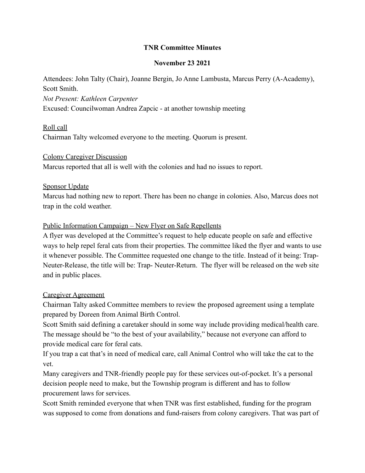# **TNR Committee Minutes**

# **November 23 2021**

Attendees: John Talty (Chair), Joanne Bergin, Jo Anne Lambusta, Marcus Perry (A-Academy), Scott Smith.

*Not Present: Kathleen Carpenter*

Excused: Councilwoman Andrea Zapcic - at another township meeting

Roll call

Chairman Talty welcomed everyone to the meeting. Quorum is present.

Colony Caregiver Discussion Marcus reported that all is well with the colonies and had no issues to report.

# Sponsor Update

Marcus had nothing new to report. There has been no change in colonies. Also, Marcus does not trap in the cold weather.

# Public Information Campaign – New Flyer on Safe Repellents

A flyer was developed at the Committee's request to help educate people on safe and effective ways to help repel feral cats from their properties. The committee liked the flyer and wants to use it whenever possible. The Committee requested one change to the title. Instead of it being: Trap-Neuter-Release, the title will be: Trap- Neuter-Return. The flyer will be released on the web site and in public places.

# Caregiver Agreement

Chairman Talty asked Committee members to review the proposed agreement using a template prepared by Doreen from Animal Birth Control.

Scott Smith said defining a caretaker should in some way include providing medical/health care. The message should be "to the best of your availability," because not everyone can afford to provide medical care for feral cats.

If you trap a cat that's in need of medical care, call Animal Control who will take the cat to the vet.

Many caregivers and TNR-friendly people pay for these services out-of-pocket. It's a personal decision people need to make, but the Township program is different and has to follow procurement laws for services.

Scott Smith reminded everyone that when TNR was first established, funding for the program was supposed to come from donations and fund-raisers from colony caregivers. That was part of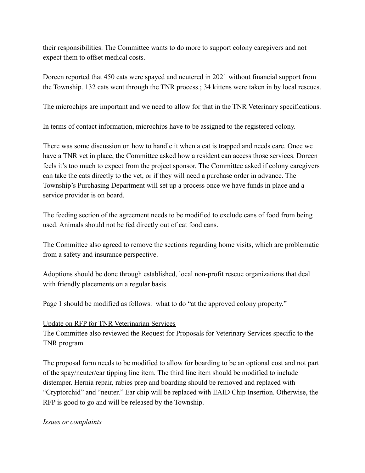their responsibilities. The Committee wants to do more to support colony caregivers and not expect them to offset medical costs.

Doreen reported that 450 cats were spayed and neutered in 2021 without financial support from the Township. 132 cats went through the TNR process.; 34 kittens were taken in by local rescues.

The microchips are important and we need to allow for that in the TNR Veterinary specifications.

In terms of contact information, microchips have to be assigned to the registered colony.

There was some discussion on how to handle it when a cat is trapped and needs care. Once we have a TNR vet in place, the Committee asked how a resident can access those services. Doreen feels it's too much to expect from the project sponsor. The Committee asked if colony caregivers can take the cats directly to the vet, or if they will need a purchase order in advance. The Township's Purchasing Department will set up a process once we have funds in place and a service provider is on board.

The feeding section of the agreement needs to be modified to exclude cans of food from being used. Animals should not be fed directly out of cat food cans.

The Committee also agreed to remove the sections regarding home visits, which are problematic from a safety and insurance perspective.

Adoptions should be done through established, local non-profit rescue organizations that deal with friendly placements on a regular basis.

Page 1 should be modified as follows: what to do "at the approved colony property."

# Update on RFP for TNR Veterinarian Services

The Committee also reviewed the Request for Proposals for Veterinary Services specific to the TNR program.

The proposal form needs to be modified to allow for boarding to be an optional cost and not part of the spay/neuter/ear tipping line item. The third line item should be modified to include distemper. Hernia repair, rabies prep and boarding should be removed and replaced with "Cryptorchid" and "neuter." Ear chip will be replaced with EAID Chip Insertion. Otherwise, the RFP is good to go and will be released by the Township.

# *Issues or complaints*